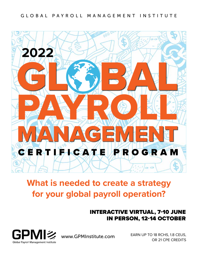#### GLOBAL PAYROLL MANAGEMENT INSTITUTE



## **What is needed to create a strategy for your global payroll operation?**

### INTERACTIVE VIRTUAL, 7-10 JUNE IN PERSON, 12-14 OCTOBER



EARN UP TO 18 RCHS, 1.8 CEUS, OR 21 CPE CREDITS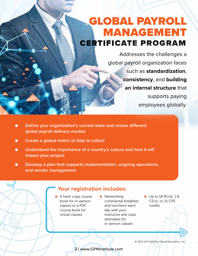## GLOBAL PAYROLL MANAGEMENT CERTIFICATE PROGRAM

Addresses the challenges a global payroll organization faces such as **standardization**, **consistency**, and **building an internal structure** that supports paying employees globally.

- **● Define your organization's current state and review different global payroll delivery models**
- **● Create a global matrix of data to collect**
- **● Understand the importance of a country's culture and how it will impact your project**
- **● Develop a plan that supports implementation, ongoing operations, and vendor management**

### **Your registration includes:**

- A hard-copy course book for in-person classes or a PDF course book for virtual classes
- **•** Networking continental breakfast and luncheon each day with your instructor and class attendees for in-person classes
- Up to 18 RCHs, 1.8 CEUs, or 21 CPE credits

© 2022 API Fund for Payroll Education, Inc.

2 | www.GPMInstitute.com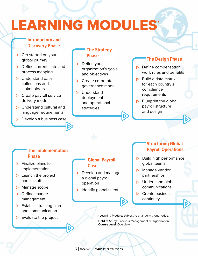# **LEARNING MODULES**

## **Introductory and Discovery Phase The Strategy**

- ⊲ Get started on your global journey
- **▷** Define current state and process mapping
- ⊲ Understand data collections and stakeholders
- ▶ Create payroll service delivery model
- ▶ Understand cultural and language requirements
- ⊲ Develop a business case

# **Phase**

- ⊲ Define your organization's goals and objectives
- **▷** Create corporate governance model
- ▶ Understand deployment and operational strategies

#### **The Design Phase**

- **▷** Define compensation work rules and benefits
- ⊲ Build a data matrix for each country's compliance requirements
- ▶ Blueprint the global payroll structure and design

#### **The Implementation Phase**

- ⊲ Finalize plans for implementation
- ⊲ Launch the project and kickoff
- ⊲ Manage scope
- **▷** Define change management
- ⊲ Establish training plan and communication
- ⊲ Evaluate the project

#### **Global Payroll Case**

- **▷** Develop and manage a global payroll operation
- ▶ Identify global talent

#### **Structuring Global Payroll Operations**

- **►** Build high performance global teams
- ▶ Manage vendor partnerships
- ⊲ Understand global communications
- **⊳** Create business continuity

\*Learning Modules subject to change without notice.

Field of Study: Business Management & Organization Course Level: Overview